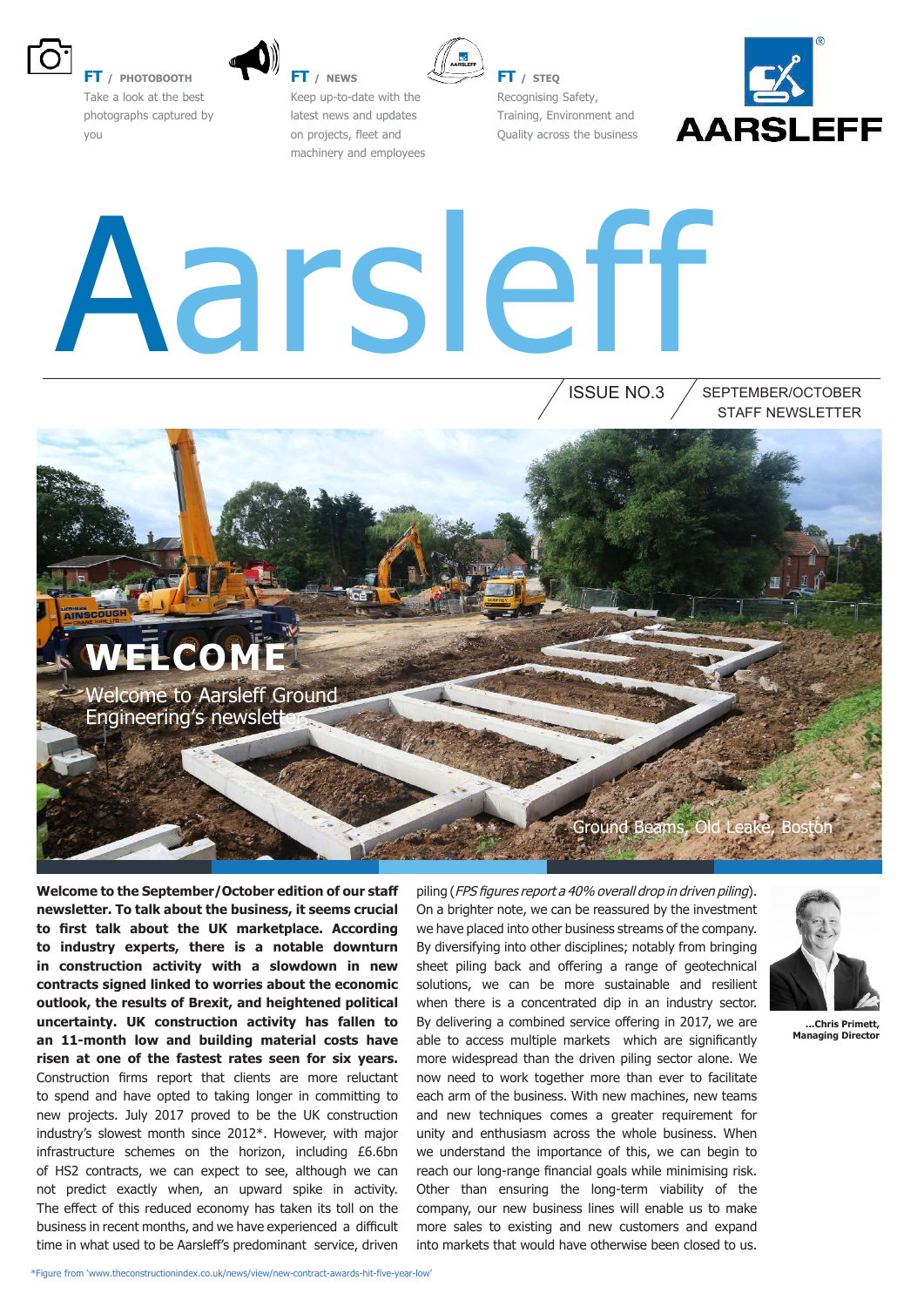

**FT / PHOTOBOOTH** Take a look at the best photographs captured by you





**FT / STEQ**

Recognising Safety, Training, Environment and Quality across the business



# Aarsleff

ISSUE NO.3 STAFF NEWSLETTER SEPTEMBER/OCTOBER

WE<del>L</del>COM Welcome to Aarsleff Ground Engineering's newslett Ground Beams

**Welcome to the September/October edition of our staff newsletter. To talk about the business, it seems crucial to irst talk about the UK marketplace. According to industry experts, there is a notable downturn in construction activity with a slowdown in new contracts signed linked to worries about the economic outlook, the results of Brexit, and heightened political uncertainty. UK construction activity has fallen to an 11-month low and building material costs have risen at one of the fastest rates seen for six years.** Construction firms report that clients are more reluctant to spend and have opted to taking longer in committing to new projects. July 2017 proved to be the UK construction industry's slowest month since 2012\*. However, with major infrastructure schemes on the horizon, including £6.6bn of HS2 contracts, we can expect to see, although we can not predict exactly when, an upward spike in activity. The effect of this reduced economy has taken its toll on the business in recent months, and we have experienced a difficult time in what used to be Aarslef's predominant service, driven

piling (FPS figures report a 40% overall drop in driven piling). On a brighter note, we can be reassured by the investment we have placed into other business streams of the company. By diversifying into other disciplines; notably from bringing sheet piling back and offering a range of geotechnical solutions, we can be more sustainable and resilient when there is a concentrated dip in an industry sector. By delivering a combined service offering in 2017, we are able to access multiple markets which are significantly more widespread than the driven piling sector alone. We now need to work together more than ever to facilitate each arm of the business. With new machines, new teams and new techniques comes a greater requirement for unity and enthusiasm across the whole business. When we understand the importance of this, we can begin to reach our long-range financial goals while minimising risk. Other than ensuring the long-term viability of the company, our new business lines will enable us to make more sales to existing and new customers and expand into markets that would have otherwise been closed to us.



**…Chris Primett, Managing Director**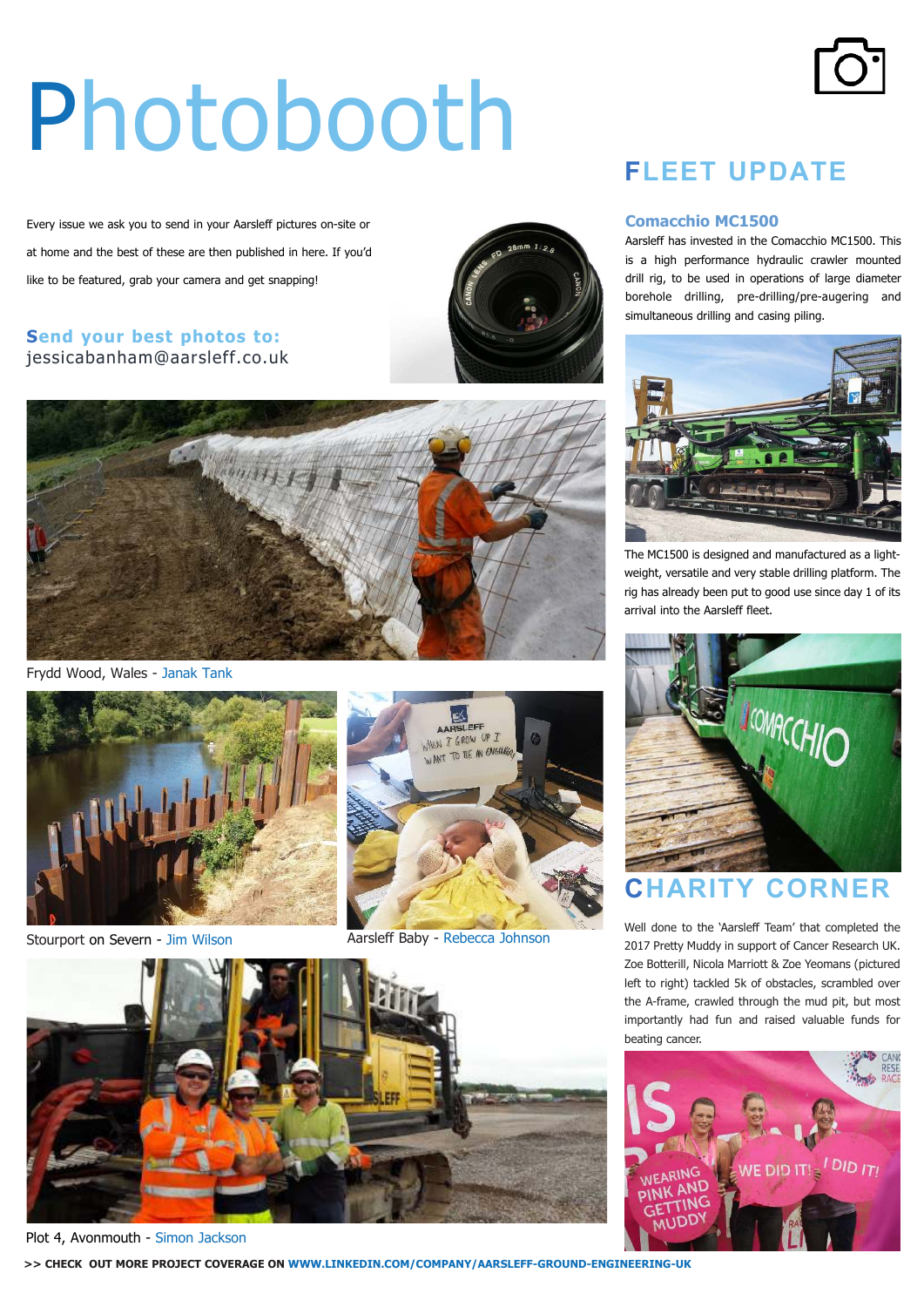# Photobooth

Every issue we ask you to send in your Aarsleff pictures on-site or at home and the best of these are then published in here. If you'd like to be featured, grab your camera and get snapping!

### **Send your best photos to:** jessicabanham@aarsleff.co.uk





Frydd Wood, Wales - Janak Tank





Stourport on Severn - Jim Wilson Aarsleff Baby - Rebecca Johnson



Plot 4, Avonmouth - Simon Jackson

**>> CHECK OUT MORE PROJECT COVERAGE ON WWW.LINKEDIN.COM/COMPANY/AARSLEFF-GROUND-ENGINEERING-UK**

### **FLEET UPDATE**

#### **Comacchio MC1500**

Aarsleff has invested in the Comacchio MC1500. This is a high performance hydraulic crawler mounted drill rig, to be used in operations of large diameter borehole drilling, pre-drilling/pre-augering and simultaneous drilling and casing piling.



The MC1500 is designed and manufactured as a lightweight, versatile and very stable drilling platform. The rig has already been put to good use since day 1 of its arrival into the Aarsleff fleet.



### **RITY CORNER**

Well done to the 'Aarsleff Team' that completed the 2017 Pretty Muddy in support of Cancer Research UK. Zoe Botterill, Nicola Marriott & Zoe Yeomans (pictured left to right) tackled 5k of obstacles, scrambled over the A-frame, crawled through the mud pit, but most importantly had fun and raised valuable funds for beating cancer.



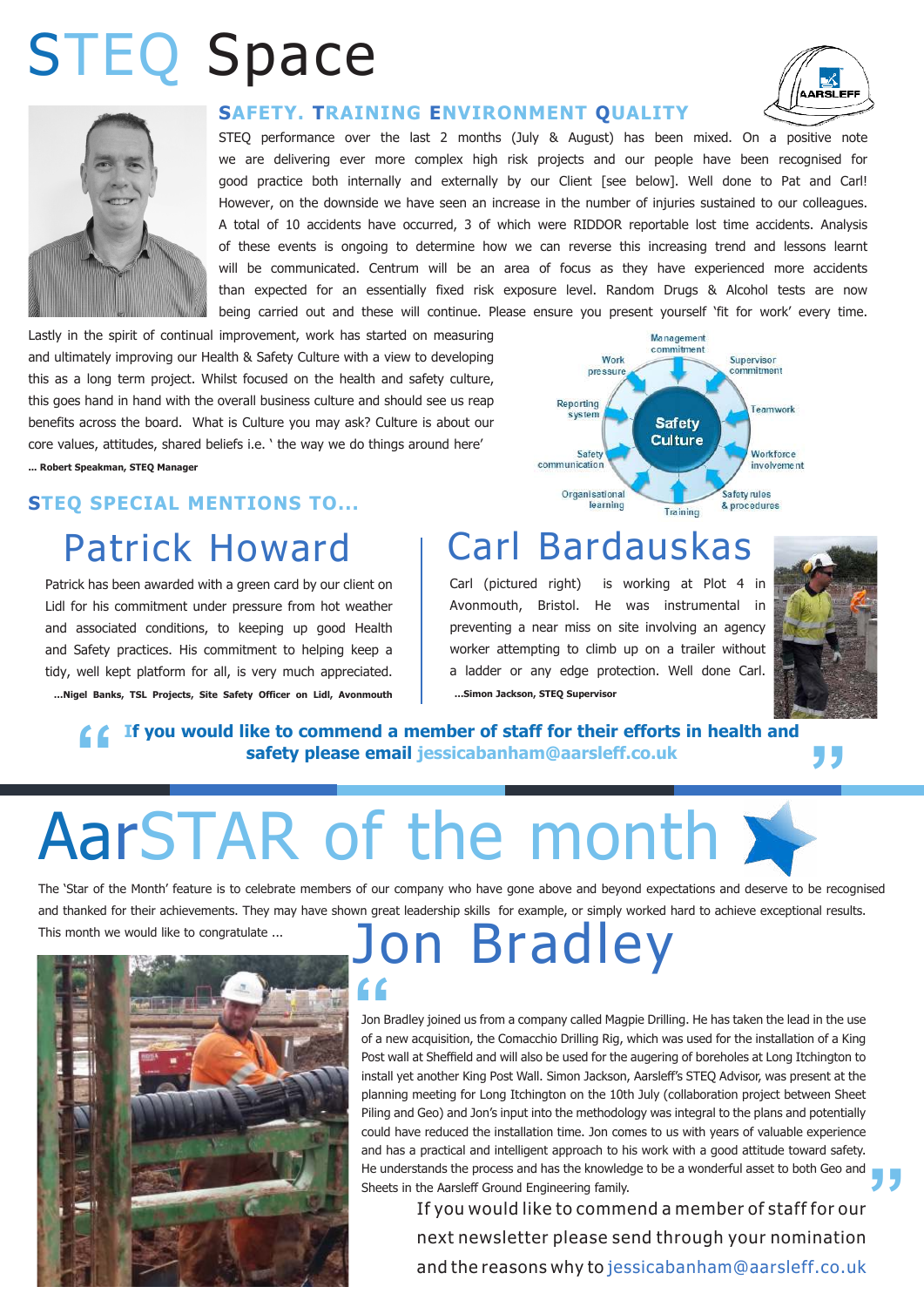# STEQ Space



#### **SAFETY. TRAINING ENVIRONMENT QUALITY**

STEQ performance over the last 2 months (July & August) has been mixed. On a positive note we are delivering ever more complex high risk projects and our people have been recognised for good practice both internally and externally by our Client [see below]. Well done to Pat and Carl! However, on the downside we have seen an increase in the number of injuries sustained to our colleagues. A total of 10 accidents have occurred, 3 of which were RIDDOR reportable lost time accidents. Analysis of these events is ongoing to determine how we can reverse this increasing trend and lessons learnt will be communicated. Centrum will be an area of focus as they have experienced more accidents than expected for an essentially fixed risk exposure level. Random Drugs & Alcohol tests are now being carried out and these will continue. Please ensure you present yourself 'fit for work' every time.

Lastly in the spirit of continual improvement, work has started on measuring and ultimately improving our Health & Safety Culture with a view to developing this as a long term project. Whilst focused on the health and safety culture, this goes hand in hand with the overall business culture and should see us reap benefits across the board. What is Culture you may ask? Culture is about our core values, attitudes, shared beliefs i.e. ' the way we do things around here' **... Robert Speakman, STEQ Manager**

### **STEQ SPECIAL MENTIONS TO...**

# Patrick Howard

Patrick has been awarded with a green card by our client on Lidl for his commitment under pressure from hot weather and associated conditions, to keeping up good Health and Safety practices. His commitment to helping keep a tidy, well kept platform for all, is very much appreciated. **…Nigel Banks, TSL Projects, Site Safety Officer on Lidl, Avonmouth**



# Carl Bardauskas

Carl (pictured right) is working at Plot 4 in Avonmouth, Bristol. He was instrumental in preventing a near miss on site involving an agency worker attempting to climb up on a trailer without a ladder or any edge protection. Well done Carl. **…Simon Jackson, STEQ Supervisor**



AARSLEFF

### **16** If you would like to commend a member of staff for their efforts in health and safety please email jessicabanham@aarsleff.co.uk **If you would like to commend a member of staff for their efforts in health and safety please email jessicabanham@aarsleff.co.uk**

# AarSTAR of the month

The 'Star of the Month' feature is to celebrate members of our company who have gone above and beyond expectations and deserve to be recognised and thanked for their achievements. They may have shown great leadership skills for example, or simply worked hard to achieve exceptional results.



# This month we would like to congratulate ... Jon Bradley

**To the United States of the United States of the United States of the lead in the use**<br>Jon Bradley joined us from a company called Magpie Drilling. He has taken the lead in the use **"** of a new acquisition, the Comacchio Drilling Rig, which was used for the installation of a King Post wall at Sheffield and will also be used for the augering of boreholes at Long Itchington to install yet another King Post Wall. Simon Jackson, Aarslef's STEQ Advisor, was present at the planning meeting for Long Itchington on the 10th July (collaboration project between Sheet Piling and Geo) and Jon's input into the methodology was integral to the plans and potentially could have reduced the installation time. Jon comes to us with years of valuable experience and has a practical and intelligent approach to his work with a good attitude toward safety. He understands the process and has the knowledge to be a wonderful asset to both Geo and Sheets in the Aarsleff Ground Engineering family.

If you would like to commend a member of staff for our next newsletter please send through your nomination and the reasons why to jessicabanham@aarsleff.co.uk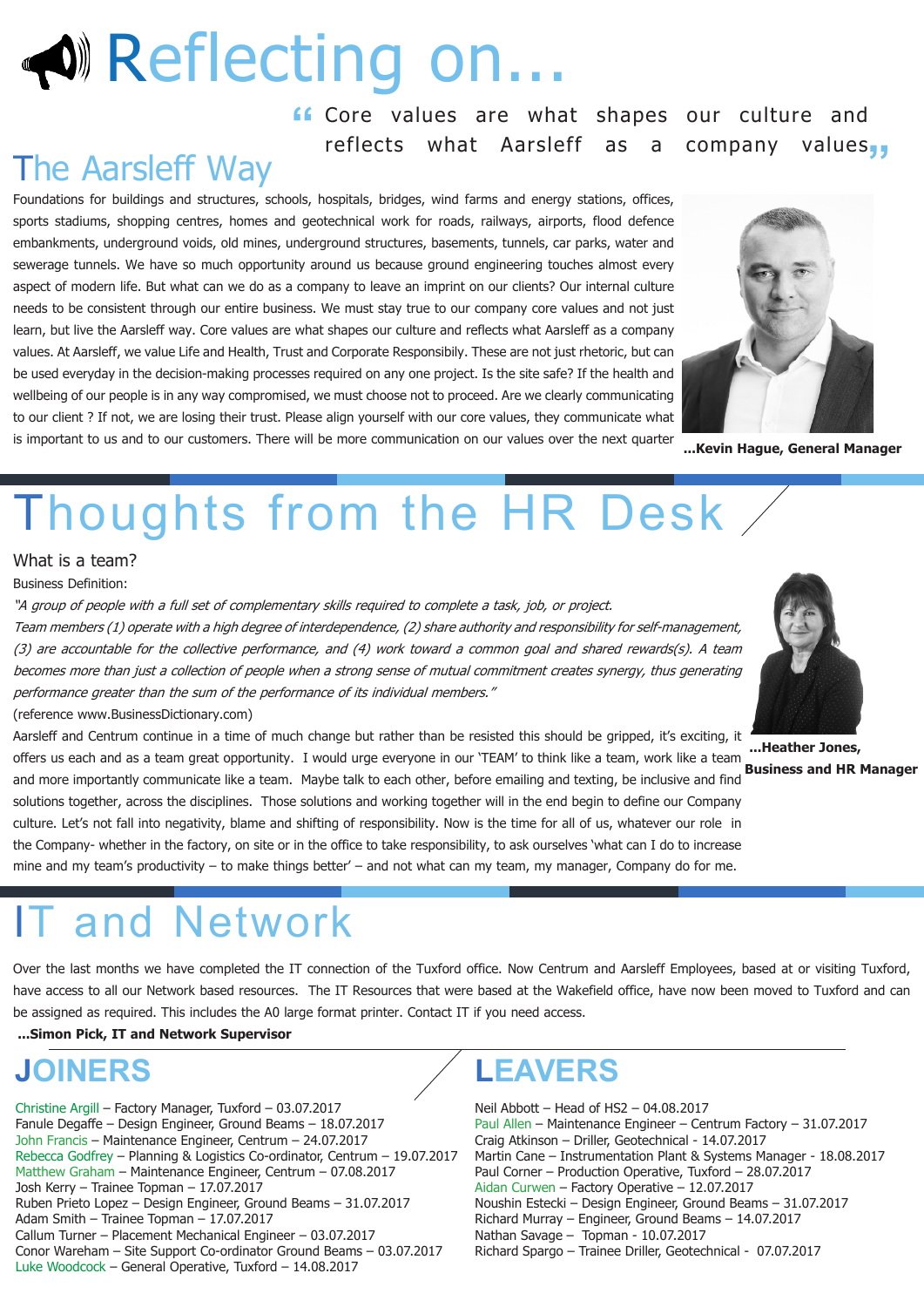# **W** Reflecting on

**"** Core values are what shapes our culture and reflects what Aarsleff as a company values,

# The Aarsleff Way

Foundations for buildings and structures, schools, hospitals, bridges, wind farms and energy stations, offices, sports stadiums, shopping centres, homes and geotechnical work for roads, railways, airports, flood defence embankments, underground voids, old mines, underground structures, basements, tunnels, car parks, water and sewerage tunnels. We have so much opportunity around us because ground engineering touches almost every aspect of modern life. But what can we do as a company to leave an imprint on our clients? Our internal culture needs to be consistent through our entire business. We must stay true to our company core values and not just learn, but live the Aarsleff way. Core values are what shapes our culture and reflects what Aarsleff as a company values. At Aarsleff, we value Life and Health, Trust and Corporate Responsibily. These are not just rhetoric, but can be used everyday in the decision-making processes required on any one project. Is the site safe? If the health and wellbeing of our people is in any way compromised, we must choose not to proceed. Are we clearly communicating to our client ? If not, we are losing their trust. Please align yourself with our core values, they communicate what is important to us and to our customers. There will be more communication on our values over the next quarter



**...Kevin Hague, General Manager**

# Thoughts from the HR Desk

#### What is a team?

Business Definition:

"A group of people with a full set of complementary skills required to complete a task, job, or project. Team members (1) operate with a high degree of interdependence, (2) share authority and responsibility for self-management, (3) are accountable for the collective performance, and (4) work toward a common goal and shared rewards(s). A team becomes more than just a collection of people when a strong sense of mutual commitment creates synergy, thus generating performance greater than the sum of the performance of its individual members."

#### (reference www.BusinessDictionary.com)

Aarsleff and Centrum continue in a time of much change but rather than be resisted this should be gripped, it's exciting, it offers us each and as a team great opportunity. I would urge everyone in our 'TEAM' to think like a team, work like a team and more importantly communicate like a team. Maybe talk to each other, before emailing and texting, be inclusive and find solutions together, across the disciplines. Those solutions and working together will in the end begin to define our Company culture. Let's not fall into negativity, blame and shifting of responsibility. Now is the time for all of us, whatever our role in the Company- whether in the factory, on site or in the office to take responsibility, to ask ourselves 'what can I do to increase mine and my team's productivity – to make things better' – and not what can my team, my manager, Company do for me.



**...Heather Jones, Business and HR Manager**

# and Network

Over the last months we have completed the IT connection of the Tuxford office. Now Centrum and Aarsleff Employees, based at or visiting Tuxford, have access to all our Network based resources. The IT Resources that were based at the Wakefield office, have now been moved to Tuxford and can be assigned as required. This includes the A0 large format printer. Contact IT if you need access.

#### **...Simon Pick, IT and Network Supervisor**

### **JOINERS**

Christine Argill – Factory Manager, Tuxford – 03.07.2017 Fanule Degafe – Design Engineer, Ground Beams – 18.07.2017 John Francis – Maintenance Engineer, Centrum – 24.07.2017 Rebecca Godfrey – Planning & Logistics Co-ordinator, Centrum – 19.07.2017 Matthew Graham – Maintenance Engineer, Centrum – 07.08.2017 Josh Kerry – Trainee Topman – 17.07.2017 Ruben Prieto Lopez – Design Engineer, Ground Beams – 31.07.2017 Adam Smith – Trainee Topman – 17.07.2017 Callum Turner – Placement Mechanical Engineer – 03.07.2017 Conor Wareham – Site Support Co-ordinator Ground Beams – 03.07.2017 Luke Woodcock – General Operative, Tuxford – 14.08.2017

### **LEAVERS**

Neil Abbott – Head of HS2 – 04.08.2017 Paul Allen – Maintenance Engineer – Centrum Factory – 31.07.2017 Craig Atkinson – Driller, Geotechnical - 14.07.2017 Martin Cane – Instrumentation Plant & Systems Manager - 18.08.2017 Paul Corner – Production Operative, Tuxford – 28.07.2017 Aidan Curwen – Factory Operative – 12.07.2017 Noushin Estecki – Design Engineer, Ground Beams – 31.07.2017 Richard Murray – Engineer, Ground Beams – 14.07.2017 Nathan Savage – Topman - 10.07.2017 Richard Spargo – Trainee Driller, Geotechnical - 07.07.2017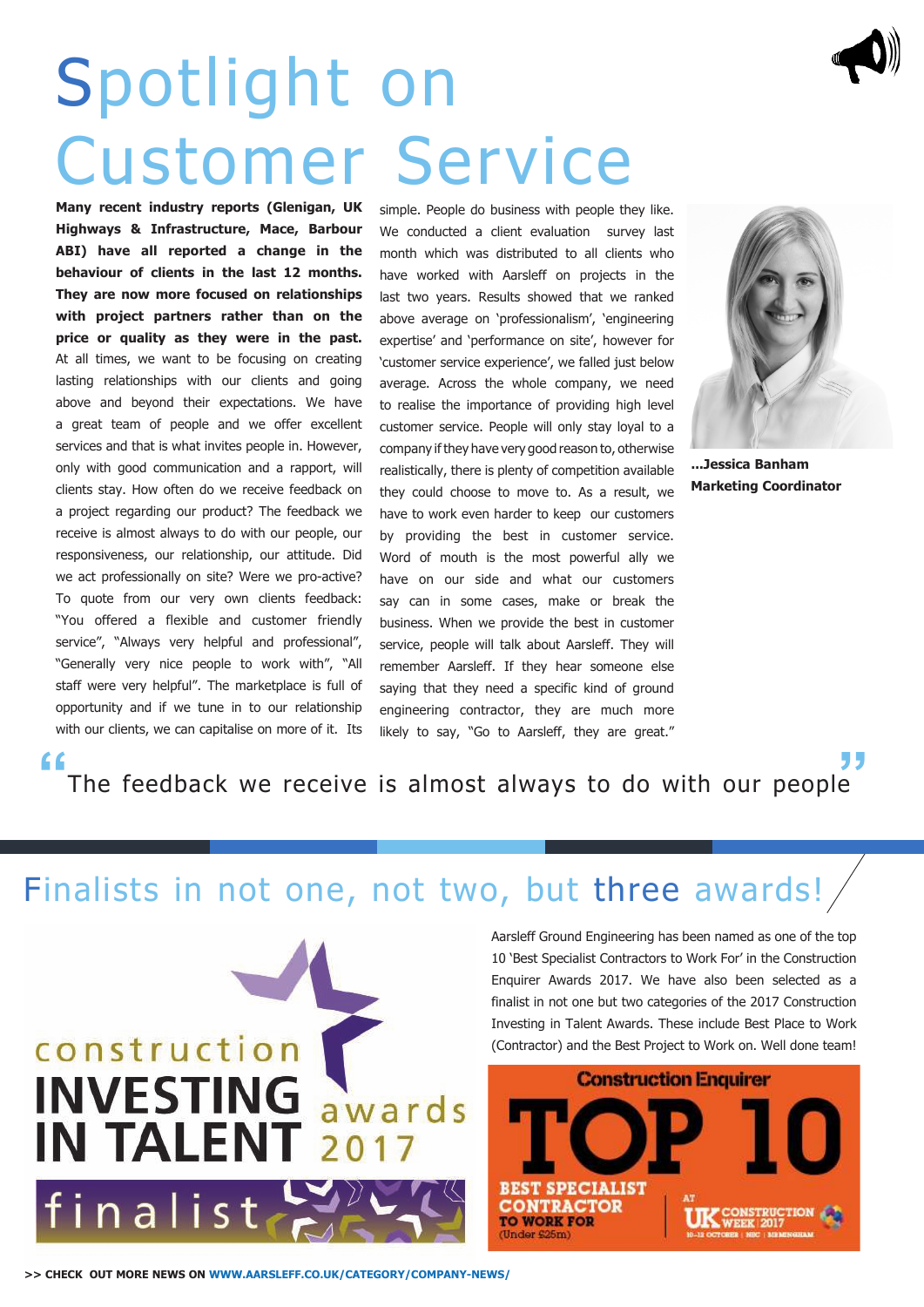# Spotlight on Customer Service

**Many recent industry reports (Glenigan, UK Highways & Infrastructure, Mace, Barbour ABI) have all reported a change in the behaviour of clients in the last 12 months. They are now more focused on relationships with project partners rather than on the price or quality as they were in the past.**  At all times, we want to be focusing on creating lasting relationships with our clients and going above and beyond their expectations. We have a great team of people and we offer excellent services and that is what invites people in. However, only with good communication and a rapport, will clients stay. How often do we receive feedback on a project regarding our product? The feedback we receive is almost always to do with our people, our responsiveness, our relationship, our attitude. Did we act professionally on site? Were we pro-active? To quote from our very own clients feedback: "You offered a flexible and customer friendly service", "Always very helpful and professional", "Generally very nice people to work with", "All staff were very helpful". The marketplace is full of opportunity and if we tune in to our relationship with our clients, we can capitalise on more of it. Its

simple. People do business with people they like. We conducted a client evaluation survey last month which was distributed to all clients who have worked with Aarsleff on projects in the last two years. Results showed that we ranked above average on 'professionalism', 'engineering expertise' and 'performance on site', however for 'customer service experience', we falled just below average. Across the whole company, we need to realise the importance of providing high level customer service. People will only stay loyal to a company if they have very good reason to, otherwise realistically, there is plenty of competition available they could choose to move to. As a result, we have to work even harder to keep our customers by providing the best in customer service. Word of mouth is the most powerful ally we have on our side and what our customers say can in some cases, make or break the business. When we provide the best in customer service, people will talk about Aarsleff. They will remember Aarsleff. If they hear someone else saying that they need a specific kind of ground engineering contractor, they are much more likely to say, "Go to Aarsleff, they are great."



**...Jessica Banham Marketing Coordinator**

The feedback we receive is almost always to do with our people

### Finalists in not one, not two, but three awards!



Aarsleff Ground Engineering has been named as one of the top 10 'Best Specialist Contractors to Work For' in the Construction Enquirer Awards 2017. We have also been selected as a finalist in not one but two categories of the 2017 Construction Investing in Talent Awards. These include Best Place to Work (Contractor) and the Best Project to Work on. Well done team!